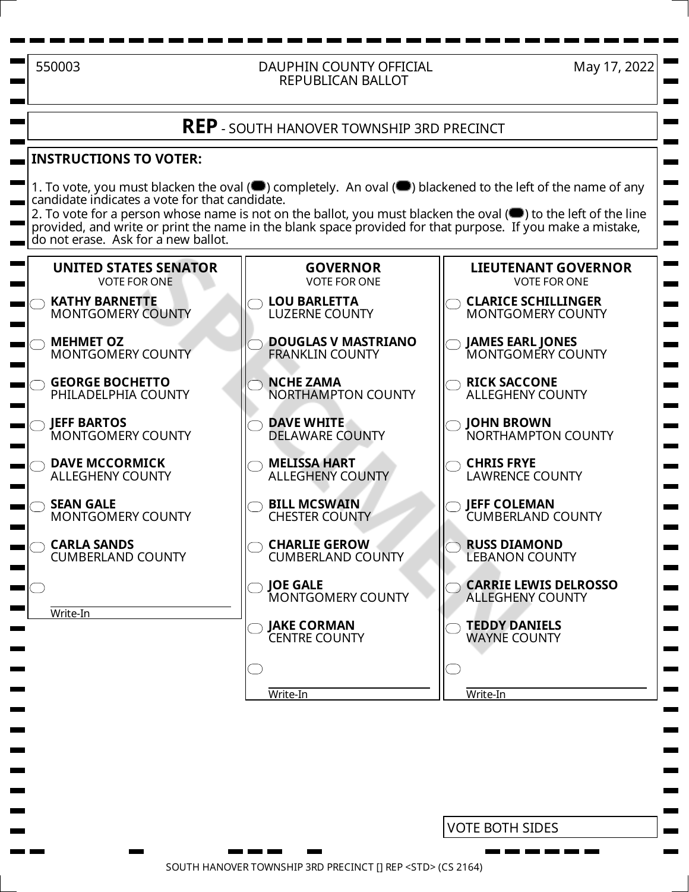## 550003 DAUPHIN COUNTY OFFICIAL REPUBLICAN BALLOT

May 17, 2022

## **REP** - SOUTH HANOVER TOWNSHIP 3RD PRECINCT

## **INSTRUCTIONS TO VOTER:**

1. To vote, you must blacken the oval ( $\blacksquare$ ) completely. An oval ( $\blacksquare$ ) blackened to the left of the name of any candidate indicates a vote for that candidate.

2. To vote for a person whose name is not on the ballot, you must blacken the oval  $($ **)** to the left of the line provided, and write or print the name in the blank space provided for that purpose. If you make a mistake, do not erase. Ask for a new ballot.



VOTE BOTH SIDES